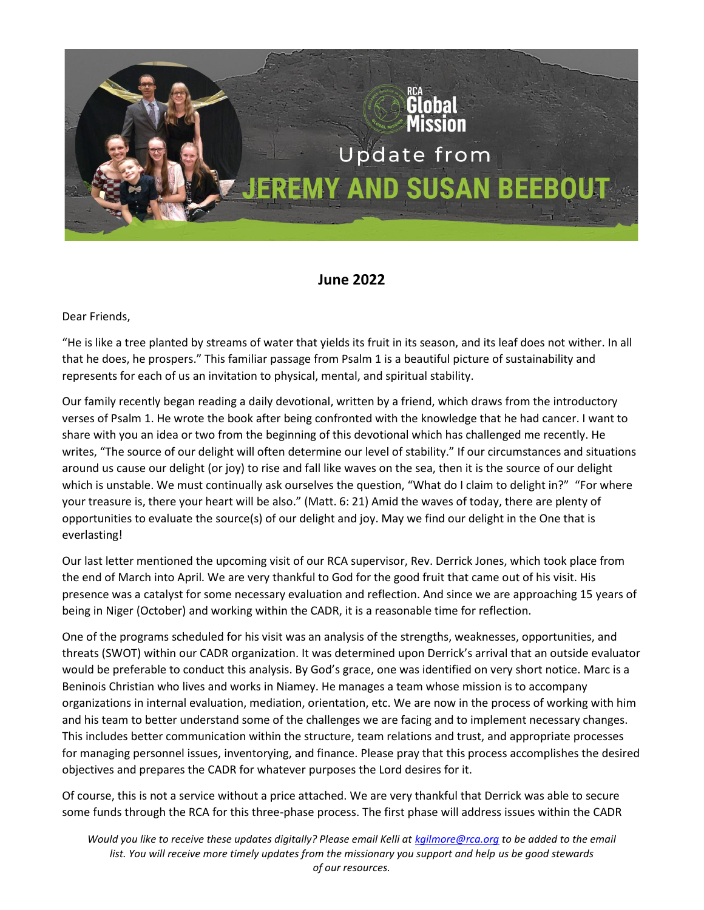

## **June 2022**

Dear Friends,

"He is like a tree planted by streams of water that yields its fruit in its season, and its leaf does not wither. In all that he does, he prospers." This familiar passage from Psalm 1 is a beautiful picture of sustainability and represents for each of us an invitation to physical, mental, and spiritual stability.

Our family recently began reading a daily devotional, written by a friend, which draws from the introductory verses of Psalm 1. He wrote the book after being confronted with the knowledge that he had cancer. I want to share with you an idea or two from the beginning of this devotional which has challenged me recently. He writes, "The source of our delight will often determine our level of stability." If our circumstances and situations around us cause our delight (or joy) to rise and fall like waves on the sea, then it is the source of our delight which is unstable. We must continually ask ourselves the question, "What do I claim to delight in?" "For where your treasure is, there your heart will be also." (Matt. 6: 21) Amid the waves of today, there are plenty of opportunities to evaluate the source(s) of our delight and joy. May we find our delight in the One that is everlasting!

Our last letter mentioned the upcoming visit of our RCA supervisor, Rev. Derrick Jones, which took place from the end of March into April. We are very thankful to God for the good fruit that came out of his visit. His presence was a catalyst for some necessary evaluation and reflection. And since we are approaching 15 years of being in Niger (October) and working within the CADR, it is a reasonable time for reflection.

One of the programs scheduled for his visit was an analysis of the strengths, weaknesses, opportunities, and threats (SWOT) within our CADR organization. It was determined upon Derrick's arrival that an outside evaluator would be preferable to conduct this analysis. By God's grace, one was identified on very short notice. Marc is a Beninois Christian who lives and works in Niamey. He manages a team whose mission is to accompany organizations in internal evaluation, mediation, orientation, etc. We are now in the process of working with him and his team to better understand some of the challenges we are facing and to implement necessary changes. This includes better communication within the structure, team relations and trust, and appropriate processes for managing personnel issues, inventorying, and finance. Please pray that this process accomplishes the desired objectives and prepares the CADR for whatever purposes the Lord desires for it.

Of course, this is not a service without a price attached. We are very thankful that Derrick was able to secure some funds through the RCA for this three-phase process. The first phase will address issues within the CADR